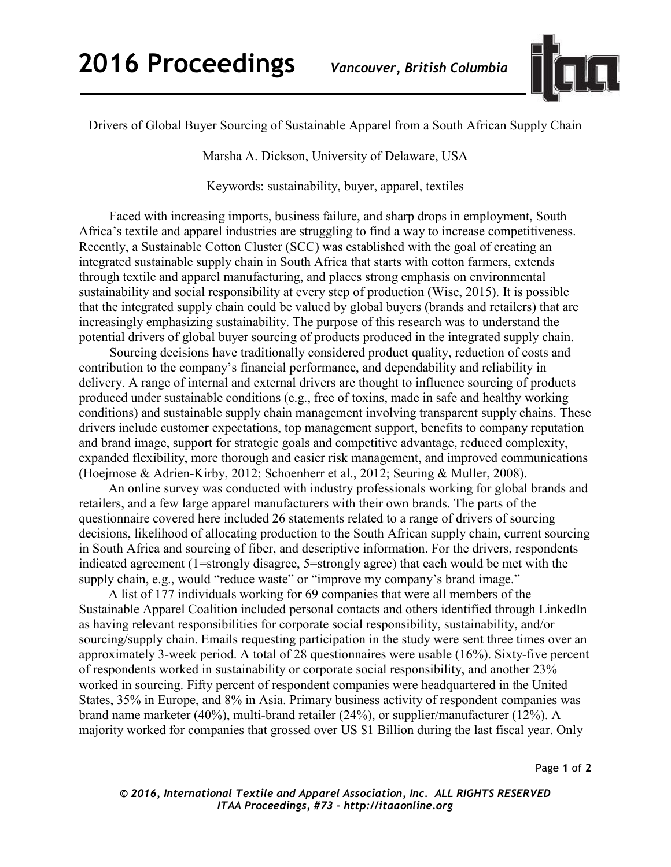

Drivers of Global Buyer Sourcing of Sustainable Apparel from a South African Supply Chain

Marsha A. Dickson, University of Delaware, USA

Keywords: sustainability, buyer, apparel, textiles

 Faced with increasing imports, business failure, and sharp drops in employment, South Africa's textile and apparel industries are struggling to find a way to increase competitiveness. Recently, a Sustainable Cotton Cluster (SCC) was established with the goal of creating an integrated sustainable supply chain in South Africa that starts with cotton farmers, extends through textile and apparel manufacturing, and places strong emphasis on environmental sustainability and social responsibility at every step of production (Wise, 2015). It is possible that the integrated supply chain could be valued by global buyers (brands and retailers) that are increasingly emphasizing sustainability. The purpose of this research was to understand the potential drivers of global buyer sourcing of products produced in the integrated supply chain.

 Sourcing decisions have traditionally considered product quality, reduction of costs and contribution to the company's financial performance, and dependability and reliability in delivery. A range of internal and external drivers are thought to influence sourcing of products produced under sustainable conditions (e.g., free of toxins, made in safe and healthy working conditions) and sustainable supply chain management involving transparent supply chains. These drivers include customer expectations, top management support, benefits to company reputation and brand image, support for strategic goals and competitive advantage, reduced complexity, expanded flexibility, more thorough and easier risk management, and improved communications (Hoejmose & Adrien-Kirby, 2012; Schoenherr et al., 2012; Seuring & Muller, 2008).

An online survey was conducted with industry professionals working for global brands and retailers, and a few large apparel manufacturers with their own brands. The parts of the questionnaire covered here included 26 statements related to a range of drivers of sourcing decisions, likelihood of allocating production to the South African supply chain, current sourcing in South Africa and sourcing of fiber, and descriptive information. For the drivers, respondents indicated agreement (1=strongly disagree, 5=strongly agree) that each would be met with the supply chain, e.g., would "reduce waste" or "improve my company's brand image."

A list of 177 individuals working for 69 companies that were all members of the Sustainable Apparel Coalition included personal contacts and others identified through LinkedIn as having relevant responsibilities for corporate social responsibility, sustainability, and/or sourcing/supply chain. Emails requesting participation in the study were sent three times over an approximately 3-week period. A total of 28 questionnaires were usable (16%). Sixty-five percent of respondents worked in sustainability or corporate social responsibility, and another 23% worked in sourcing. Fifty percent of respondent companies were headquartered in the United States, 35% in Europe, and 8% in Asia. Primary business activity of respondent companies was brand name marketer (40%), multi-brand retailer (24%), or supplier/manufacturer (12%). A majority worked for companies that grossed over US \$1 Billion during the last fiscal year. Only

Page **1** of **2** 

*© 2016, International Textile and Apparel Association, Inc. ALL RIGHTS RESERVED ITAA Proceedings, #73 – http://itaaonline.org*